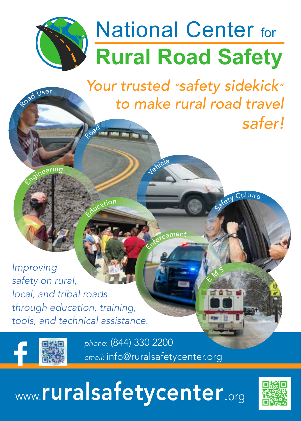## **Rural Road Safety National Center for**

 *Your trusted "safety sidekick" to make rural road travel safer!* Road

Stety Culture

 $\overline{\mathbb{Q}}$ M S

Jehicle

**Enforcement** 

*Improving safety on rural, local, and tribal roads through education, training, tools, and technical assistance.*

Education



Roa<sup>d</sup> <sup>U</sup>se<sup>r</sup>

Engineering

*phone*: (844) 330 2200 *email:* info@ruralsafetycenter.org

## www.ruralsafetycenter.org